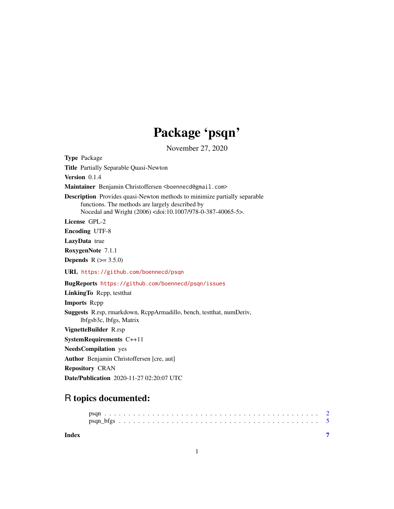# Package 'psqn'

November 27, 2020

<span id="page-0-0"></span>Type Package Title Partially Separable Quasi-Newton Version 0.1.4 Maintainer Benjamin Christoffersen <br/>boennecd@gmail.com> Description Provides quasi-Newton methods to minimize partially separable functions. The methods are largely described by Nocedal and Wright (2006) <doi:10.1007/978-0-387-40065-5>. License GPL-2 Encoding UTF-8 LazyData true RoxygenNote 7.1.1 **Depends**  $R (= 3.5.0)$ URL <https://github.com/boennecd/psqn> BugReports <https://github.com/boennecd/psqn/issues> LinkingTo Rcpp, testthat Imports Rcpp Suggests R.rsp, rmarkdown, RcppArmadillo, bench, testthat, numDeriv, lbfgsb3c, lbfgs, Matrix VignetteBuilder R.rsp SystemRequirements C++11 NeedsCompilation yes Author Benjamin Christoffersen [cre, aut] Repository CRAN Date/Publication 2020-11-27 02:20:07 UTC

## R topics documented:

**Index** [7](#page-6-0) **7**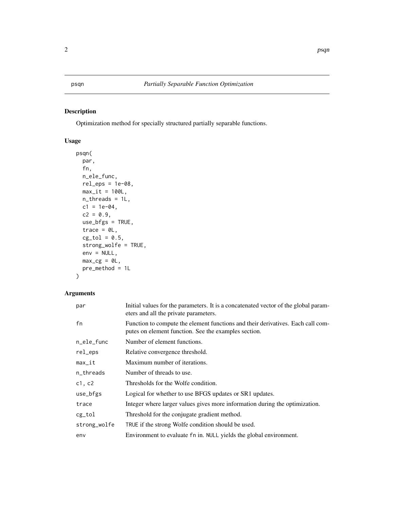### <span id="page-1-1"></span><span id="page-1-0"></span>Description

Optimization method for specially structured partially separable functions.

#### Usage

```
psqn(
  par,
  fn,
  n_ele_func,
  rel\_eps = 1e-08,
  max_it = 100L,n_threads = 1L,
  c1 = 1e-04,
  c2 = 0.9,
  use_bfgs = TRUE,
  trace = \theta L,
  cg\_tol = 0.5,
  strong_wolfe = TRUE,
  env = NULL,max_{c} = \theta L,
  pre_method = 1L
)
```
#### Arguments

| par          | Initial values for the parameters. It is a concatenated vector of the global param-<br>eters and all the private parameters.            |
|--------------|-----------------------------------------------------------------------------------------------------------------------------------------|
| fn           | Function to compute the element functions and their derivatives. Each call com-<br>putes on element function. See the examples section. |
| n_ele_func   | Number of element functions.                                                                                                            |
| rel_eps      | Relative convergence threshold.                                                                                                         |
| $max_it$     | Maximum number of iterations.                                                                                                           |
| n_threads    | Number of threads to use.                                                                                                               |
| c1, c2       | Thresholds for the Wolfe condition.                                                                                                     |
| use_bfgs     | Logical for whether to use BFGS updates or SR1 updates.                                                                                 |
| trace        | Integer where larger values gives more information during the optimization.                                                             |
| cg_tol       | Threshold for the conjugate gradient method.                                                                                            |
| strong_wolfe | TRUE if the strong Wolfe condition should be used.                                                                                      |
| env          | Environment to evaluate fn in. NULL yields the global environment.                                                                      |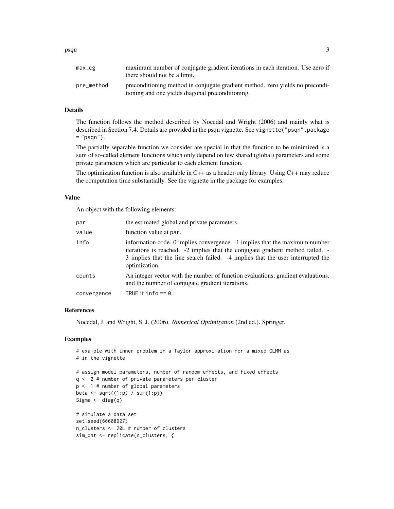| max_cg     | maximum number of conjugate gradient iterations in each iteration. Use zero if<br>there should not be a limit.                    |
|------------|-----------------------------------------------------------------------------------------------------------------------------------|
| pre_method | preconditioning method in conjugate gradient method. zero yields no precondi-<br>tioning and one yields diagonal preconditioning. |

#### Details

The function follows the method described by Nocedal and Wright (2006) and mainly what is described in Section 7.4. Details are provided in the psqn vignette. See vignette ("psqn", package  $=$  "psqn").

The partially separable function we consider are special in that the function to be minimized is a sum of so-called element functions which only depend on few shared (global) parameters and some private parameters which are particular to each element function.

The optimization function is also available in C++ as a header-only library. Using C++ may reduce the computation time substantially. See the vignette in the package for examples.

#### Value

An object with the following elements:

| par         | the estimated global and private parameters.                                                                                                                                                                                                                      |
|-------------|-------------------------------------------------------------------------------------------------------------------------------------------------------------------------------------------------------------------------------------------------------------------|
| value       | function value at par.                                                                                                                                                                                                                                            |
| info        | information code. 0 implies convergence. -1 implies that the maximum number<br>iterations is reached. -2 implies that the conjugate gradient method failed. -<br>3 implies that the line search failed. -4 implies that the user interrupted the<br>optimization. |
| counts      | An integer vector with the number of function evaluations, gradient evaluations,<br>and the number of conjugate gradient iterations.                                                                                                                              |
| convergence | TRUE if $info == 0$ .                                                                                                                                                                                                                                             |

#### References

Nocedal, J. and Wright, S. J. (2006). *Numerical Optimization* (2nd ed.). Springer.

#### Examples

```
# example with inner problem in a Taylor approximation for a mixed GLMM as
# in the vignette
# assign model parameters, number of random effects, and fixed effects
q <- 2 # number of private parameters per cluster
p <- 1 # number of global parameters
beta \leq sqrt((1:p) / sum(1:p))Sigma \leftarrow diag(q)
# simulate a data set
set.seed(66608927)
n_clusters <- 20L # number of clusters
sim_dat <- replicate(n_clusters, {
```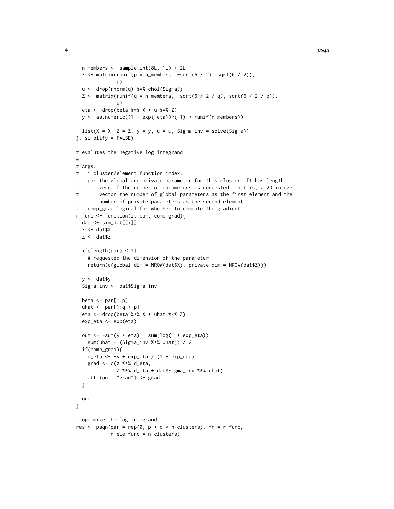```
n_members <- sample.int(8L, 1L) + 2L
  X \le matrix(runif(p * n_members, -sqrt(6 / 2), sqrt(6 / 2)),
              p)
  u <- drop(rnorm(q) %*% chol(Sigma))
  Z \le matrix(runif(q * n_members, -sqrt(6 / 2 / q), sqrt(6 / 2 / q)),
              q)
  eta <- drop(beta %*% X + u %*% Z)
  y \le - as.numeric((1 + exp(-eta))^(-1) > runif(n_members))
  list(X = X, Z = Z, y = y, u = u, Sigma_inv = solve(Sigma))
}, simplify = FALSE)
# evalutes the negative log integrand.
#
# Args:
# i cluster/element function index.
# par the global and private parameter for this cluster. It has length
# zero if the number of parameters is requested. That is, a 2D integer
# vector the number of global parameters as the first element and the
# number of private parameters as the second element.
# comp_grad logical for whether to compute the gradient.
r_func <- function(i, par, comp_grad){
  dat <- sim_dat[[i]]
  X \leftarrow \text{dat$X}Z \leftarrow \text{dat$Z}if(length(par) < 1)
    # requested the dimension of the parameter
    return(c(global_dim = NROW(dat$X), private_dim = NROW(dat$Z)))
  y <- dat$y
  Sigma_inv <- dat$Sigma_inv
  beta \le par[1:p]uhat \le par[1:q + p]
  eta <- drop(beta %*% X + uhat %*% Z)
  exp_eta <- exp(eta)
  out \le -sum(y * eta) + sum(log(1 + exp_eta)) +
    sum(uhat * (Sigma_inv %*% uhat)) / 2
  if(comp_grad){
    d_eta <- -y + exp_eta / (1 + exp_eta)
    grad <- c(X %*% d_eta,
              Z %*% d_eta + dat$Sigma_inv %*% uhat)
   attr(out, "grad") <- grad
  }
  out
}
# optimize the log integrand
res \leq psqn(par = rep(0, p + q * n_clusters), fn = r_func,
            n_ele_func = n_clusters)
```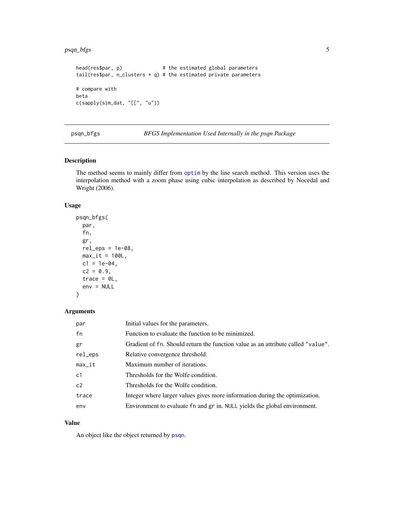#### <span id="page-4-0"></span>psqn\_bfgs 5

```
head(res$par, p) \qquad \qquad # the estimated global parameters
tail(res$par, n_clusters * q) # the estimated private parameters
# compare with
beta
c(sapply(sim_dat, "[[", "u"))
```
psqn\_bfgs *BFGS Implementation Used Internally in the psqn Package*

#### Description

The method seems to mainly differ from [optim](#page-0-0) by the line search method. This version uses the interpolation method with a zoom phase using cubic interpolation as described by Nocedal and Wright (2006).

#### Usage

```
psqn_bfgs(
 par,
  fn,
  gr,
 rel\_eps = 1e-08,
 max_i t = 100L,
 c1 = 1e-04,
  c2 = 0.9,
  trace = 0L,
  env = NULL)
```
#### Arguments

| par            | Initial values for the parameters.                                               |
|----------------|----------------------------------------------------------------------------------|
| fn             | Function to evaluate the function to be minimized.                               |
| gr             | Gradient of fn. Should return the function value as an attribute called "value". |
| rel_eps        | Relative convergence threshold.                                                  |
| $max_it$       | Maximum number of iterations.                                                    |
| c1             | Thresholds for the Wolfe condition.                                              |
| c <sub>2</sub> | Thresholds for the Wolfe condition.                                              |
| trace          | Integer where larger values gives more information during the optimization.      |
| env            | Environment to evaluate fn and gr in. NULL yields the global environment.        |

#### Value

An object like the object returned by [psqn](#page-1-1).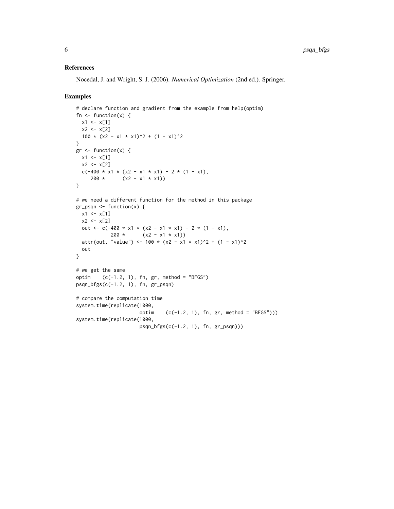#### References

Nocedal, J. and Wright, S. J. (2006). *Numerical Optimization* (2nd ed.). Springer.

#### Examples

```
# declare function and gradient from the example from help(optim)
fn \leq function(x) {
 x1 \leftarrow x[1]x2 < - x[2]100 \times (x2 - x1 \times x1)^2 + (1 - x1)^2}
gr <- function(x) {
 x1 \leftarrow x[1]x2 < - x[2]c(-400 \times x1 \times (x2 - x1 \times x1) - 2 \times (1 - x1),200 \star (x2 - x1 \star x1))
}
# we need a different function for the method in this package
gr_psqn <- function(x) {
 x1 \leftarrow x[1]x2 < - x[2]out <- c(-400 * x1 * (x2 - x1 * x1) - 2 * (1 - x1),
            200 \star (x2 - x1 \star x1))
  attr(out, "value") <- 100 * (x2 - x1 * x1)^2 + (1 - x1)^2
  out
}
# we get the same
optim (c(-1.2, 1), fn, gr, method = "BFGS")psqn_bfgs(c(-1.2, 1), fn, gr_psqn)
# compare the computation time
system.time(replicate(1000,
                       optim (c(-1.2, 1), fn, gr, method = "BFGS"))system.time(replicate(1000,
                       psqn_bfgs(c(-1.2, 1), fn, gr_psqn)))
```